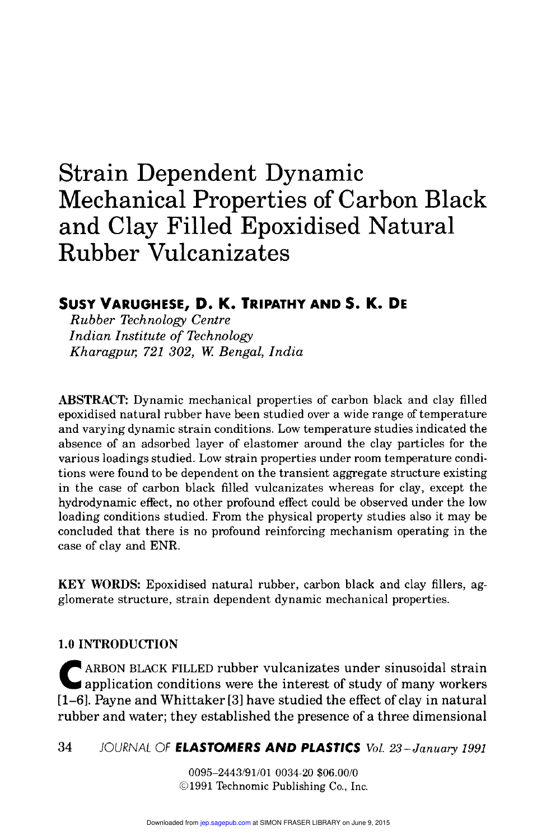# Strain Dependent Dynamic Mechanical Properties of Carbon Black and Clay Filled Epoxidised Natural Rubber Vulcanizates

## SUSY VARUGHESE, D. K. TRIPATHY AND S. K. DE

Rubber Technology Centre Indian Institute of Technology Kharagpur, 721 302, W. Bengal, India

ABSTRACT: Dynamic mechanical properties of carbon black and clay filled epoxidised natural rubber have been studied over a wide range of temperature and varying dynamic strain conditions. Low temperature studies indicated the absence of an adsorbed layer of elastomer around the clay particles for the various loadings studied. Low strain properties under room temperature conditions were found to be dependent on the transient aggregate structure existing in the case of carbon black filled vulcanizates whereas for clay, except the hydrodynamic effect, no other profound effect could be observed under the low loading conditions studied. From the physical property studies also it may be concluded that there is no profound reinforcing mechanism operating in the case of clay and ENR.

KEY WORDS: Epoxidised natural rubber, carbon black and clay fillers, agglomerate structure, strain dependent dynamic mechanical properties.

#### 1.0 INTRODUCTION

C ARBON BLACK FILLED rubber vulcanizates under sinusoidal strain application conditions were the interest of study of many workers [1-6]. Payne and Whittaker [3] have studied the effect of clay in natural rubber and water; they established the presence of a three dimensional

#### 34 JOURNAL OF ELASTOMERS AND PLASTICS Vol. 23-January 1991

0095-2443/91/01 0034-20 \$06.00/0 ©1991 Technomic Publishing Co., Inc.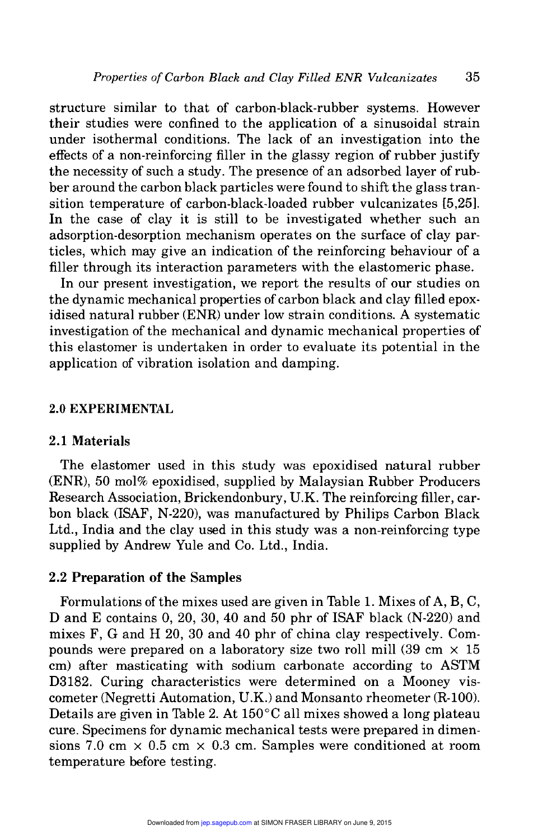structure similar to that of carbon-black-rubber systems. However their studies were confined to the application of a sinusoidal strain under isothermal conditions. The lack of an investigation into the effects of a non-reinforcing filler in the glassy region of rubber justify the necessity of such a study. The presence of an adsorbed layer of rubber around the carbon black particles were found to shift the glass transition temperature of carbon-black-loaded rubber vulcanizates [5,25]. In the case of clay it is still to be investigated whether such an adsorption-desorption mechanism operates on the surface of clay particles, which may give an indication of the reinforcing behaviour of a filler through its interaction parameters with the elastomeric phase.

In our present investigation, we report the results of our studies on the dynamic mechanical properties of carbon black and clay filled epoxidised natural rubber (ENR) under low strain conditions. A systematic investigation of the mechanical and dynamic mechanical properties of this elastomer is undertaken in order to evaluate its potential in the application of vibration isolation and damping.

#### 2.0 EXPERIMENTAL

#### 2.1 Materials

The elastomer used in this study was epoxidised natural rubber (ENR), 50 mol% epoxidised, supplied by Malaysian Rubber Producers Research Association, Brickendonbury, U.K. The reinforcing filler, carbon black (ISAF, N-220), was manufactured by Philips Carbon Black Ltd., India and the clay used in this study was a non-reinforcing type supplied by Andrew Yule and Co. Ltd., India.

#### 2.2 Preparation of the Samples

Formulations of the mixes used are given in Table 1. Mixes of A, B, C, D and E contains 0, 20, 30, 40 and 50 phr of ISAF black (N-220) and mixes F, G and H 20, 30 and 40 phr of china clay respectively. Compounds were prepared on a laboratory size two roll mill (39 cm  $\times$  15 cm) after masticating with sodium carbonate according to ASTM D3182. Curing characteristics were determined on a Mooney viscometer (Negretti Automation, U.K.) and Monsanto rheometer (R-100). Details are given in Table 2. At  $150^{\circ}$ C all mixes showed a long plateau cure. Specimens for dynamic mechanical tests were prepared in dimensions 7.0 cm  $\times$  0.5 cm  $\times$  0.3 cm. Samples were conditioned at room temperature before testing.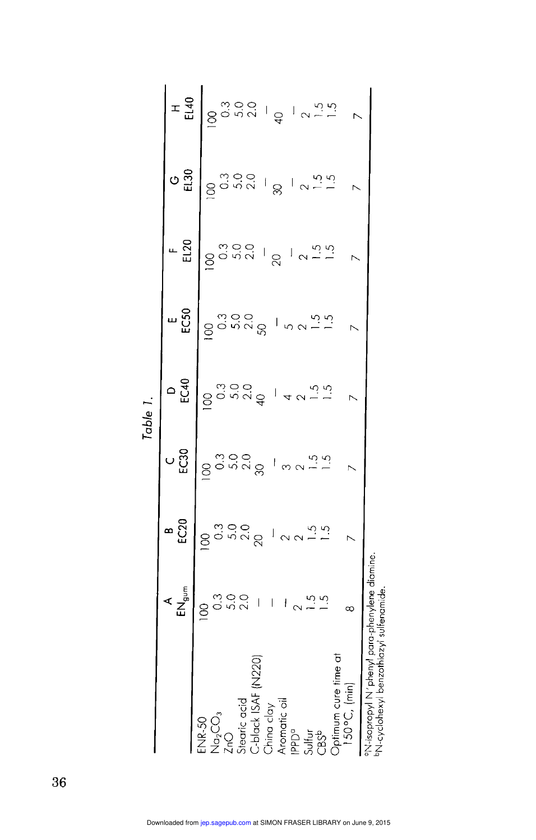|                                                                                                                                                                                                       |                                  |                                                                                                                                                                                                                                                                                                                        |                                                                               | .<br>Dubie                                                                                                                                                                                                                                                  |                                                                                                                                                                                                                                                                              |                                                              |                          |                                                                                                                                                       |
|-------------------------------------------------------------------------------------------------------------------------------------------------------------------------------------------------------|----------------------------------|------------------------------------------------------------------------------------------------------------------------------------------------------------------------------------------------------------------------------------------------------------------------------------------------------------------------|-------------------------------------------------------------------------------|-------------------------------------------------------------------------------------------------------------------------------------------------------------------------------------------------------------------------------------------------------------|------------------------------------------------------------------------------------------------------------------------------------------------------------------------------------------------------------------------------------------------------------------------------|--------------------------------------------------------------|--------------------------|-------------------------------------------------------------------------------------------------------------------------------------------------------|
|                                                                                                                                                                                                       |                                  | ား<br>မ                                                                                                                                                                                                                                                                                                                | ិ<br>បូ                                                                       | $D$ 523                                                                                                                                                                                                                                                     | ມ<br>ເວິ                                                                                                                                                                                                                                                                     | $\frac{F}{E}$                                                | $\sigma_{\frac{50}{11}}$ | $\frac{1}{2}$                                                                                                                                         |
| Optimum cure time at<br>$150^{\circ}C$ , $(min)$<br>C-black ISAF (<br>Stearic acid<br>China clay<br>Aromatic oil<br>IPPD <sup>o</sup><br>$N_{\alpha_2}CO_3$<br>ZnO<br><b>ENR-50</b><br>Sulfur<br>CBSb | $1 + \frac{15}{2}$<br>$^{\circ}$ | $\frac{1}{2}$<br>$\frac{1}{2}$ $\frac{1}{2}$ $\frac{1}{2}$ $\frac{1}{2}$ $\frac{1}{2}$ $\frac{1}{2}$ $\frac{1}{2}$ $\frac{1}{2}$ $\frac{1}{2}$ $\frac{1}{2}$ $\frac{1}{2}$ $\frac{1}{2}$ $\frac{1}{2}$ $\frac{1}{2}$ $\frac{1}{2}$ $\frac{1}{2}$ $\frac{1}{2}$ $\frac{1}{2}$ $\frac{1}{2}$ $\frac{1}{2}$ $\frac{1}{2}$ | $\frac{100}{100}$<br>$\frac{1000}{100}$ $\frac{1000}{100}$ $\frac{1000}{100}$ | $\frac{1}{2}$<br>$\frac{1}{2}$<br>$\frac{1}{2}$<br>$\frac{1}{2}$<br>$\frac{1}{2}$<br>$\frac{1}{2}$<br>$\frac{1}{2}$<br>$\frac{1}{2}$<br>$\frac{1}{2}$<br>$\frac{1}{2}$<br>$\frac{1}{2}$<br>$\frac{1}{2}$<br>$\frac{1}{2}$<br>$\frac{1}{2}$<br>$\frac{1}{2}$ | $\frac{3}{2}$<br>$\frac{3}{2}$<br>$\frac{3}{2}$<br>$\frac{3}{2}$<br>$\frac{3}{2}$<br>$\frac{3}{2}$<br>$\frac{3}{2}$<br>$\frac{3}{2}$<br>$\frac{3}{2}$<br>$\frac{3}{2}$<br>$\frac{3}{2}$<br>$\frac{3}{2}$<br>$\frac{3}{2}$<br>$\frac{3}{2}$<br>$\frac{3}{2}$<br>$\frac{3}{2}$ | $100$<br>$3000$<br>$700$<br>$700$<br>$700$<br>$700$<br>$700$ | $\frac{1}{2}$            | $\frac{1}{2}$<br>$\frac{1}{2}$<br>$\frac{1}{2}$<br>$\frac{1}{2}$<br>$\frac{1}{2}$<br>$\frac{1}{2}$<br>$\frac{1}{2}$<br>$\frac{1}{2}$<br>$\frac{1}{2}$ |
| <sup>on</sup> N-isopropyl M'phenyl para-phenylene diamine<br>N-Cyclonexyi benzothiazyi sultenamide                                                                                                    |                                  |                                                                                                                                                                                                                                                                                                                        |                                                                               |                                                                                                                                                                                                                                                             |                                                                                                                                                                                                                                                                              |                                                              |                          |                                                                                                                                                       |

Table 1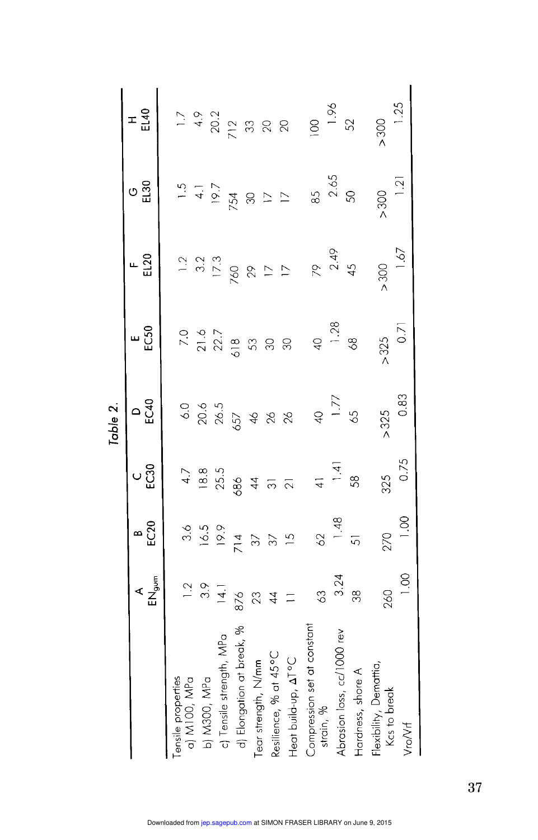|                                          |                     |                 |                    | Table 2.            |                  |                |                |                 |
|------------------------------------------|---------------------|-----------------|--------------------|---------------------|------------------|----------------|----------------|-----------------|
|                                          | $AC$ <sub>gum</sub> | $rac{8}{5}$     | ပ္ပ္ယီ             | $\circ \frac{a}{2}$ | "<br><u>និ</u>   | EL20           | ပ ဒ္မိ         | ェ<br>일          |
| $a)$ M100, MP $a$<br>Tensile properties  | $\frac{1}{2}$       | 3.6             | 4.7                | 6.0                 | 7.0              | $\frac{2}{1}$  | $\frac{5}{1}$  |                 |
| b) M300, MPa                             | 3.9                 | 16.5            | 18.8               | $20.6$<br>$26.5$    | $21.6$<br>$22.7$ | $3.2$<br>17.3  | $\overline{4}$ |                 |
| c) Tensile strength, MPa                 | 4.                  | 9.91            | 255                |                     |                  |                | 19.7           |                 |
| d) Elongation at break, %                | 876                 |                 | 686                | 657                 | 618              | 760            | 754            |                 |
| Tear strength, N/mm                      | 23                  | 714<br>37       | $\overline{4}$     | $\frac{1}{2}$       | $\mathfrak{S}$   | 29             | $\otimes$      |                 |
| Resilience, % at 45°C                    | $\overline{4}$      | $\Im$           | $\overline{\odot}$ | $\infty$            | $\mathcal{S}$    | $\overline{1}$ | $\overline{1}$ |                 |
| Heat build-up, AT°C                      | $\equiv$            | $\overline{2}$  | $\overline{2}$     | $\infty$            | $\overline{30}$  | $\overline{1}$ | $\overline{C}$ |                 |
| Compression set at constant<br>strain, % | $\frac{3}{2}$       | $\overline{62}$ | $\frac{1}{4}$      | $rac{1}{4}$         | $rac{1}{4}$      | 79             | <u>ა</u>       | $\frac{8}{100}$ |
| Abrasion loss, cc/1000 rev               | 3.24                | 1.48            | $\frac{1}{4}$      | 1.77                | 1.28             | 2.49           | 2.65           | 1.96            |
| Hardness, shore A                        | 38                  | 5               | 58                 | 59                  | $\frac{8}{6}$    | 45             | $\overline{5}$ | 52              |
| Flexibility, Demattia,<br>Kcs to break   | 260                 | 270             | 325                | >325                | >325             | > 300          | > 300          | > 300           |
| Vro/Vrf                                  | 1.00                | 0.00            | 0.75               | 0.83                | 0.71             | $-1.67$        | 1.21           | 1.25            |

37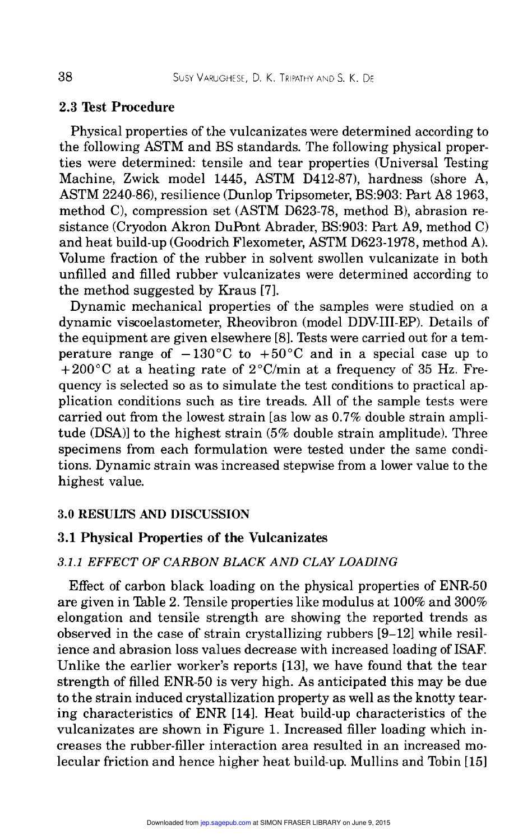### 2.3 Test Procedure

Physical properties of the vulcanizates were determined according to the following ASTM and BS standards. The following physical properties were determined: tensile and tear properties (Universal Testing Machine, Zwick model 1445, ASTM D412-87), hardness (shore A, ASTM 2240-86), resilience (Dunlop Tripsometer, BS:903: Part A8 1963, method C), compression set (ASTM D623-78, method B), abrasion resistance (Cryodon Akron DuPont Abrader, BS:903: Part A9, method C) and heat build-up (Goodrich Flexometer, ASTM D623-1978, method A). Volume fraction of the rubber in solvent swollen vulcanizate in both unfilled and filled rubber vulcanizates were determined according to the method suggested by Kraus [7].

Dynamic mechanical properties of the samples were studied on a dynamic viscoelastometer, Rheovibron (model DDV-III-EP). Details of the equipment are given elsewhere [8]. Tests were carried out for a temperature range of  $-130^{\circ}$ C to  $+50^{\circ}$ C and in a special case up to  $+200\degree C$  at a heating rate of  $2\degree C/\text{min}$  at a frequency of 35 Hz. Frequency is selected so as to simulate the test conditions to practical application conditions such as tire treads. All of the sample tests were carried out from the lowest strain [as low as 0.7% double strain amplitude (DSA)] to the highest strain (5% double strain amplitude). Three specimens from each formulation were tested under the same conditions. Dynamic strain was increased stepwise from a lower value to the highest value.

#### 3.0 RESULTS AND DISCUSSION

#### 3.1 Physical Properties of the Vulcanizates

#### 3.1.1 EFFECT OF CARBON BLACK AND CLAY LOADING

Effect of carbon black loading on the physical properties of ENR-50 are given in Table 2. Tensile properties like modulus at 100% and 300% elongation and tensile strength are showing the reported trends as observed in the case of strain crystallizing rubbers [9-12] while resilience and abrasion loss values decrease with increased loading of ISAF. Unlike the earlier worker's reports [13], we have found that the tear strength of filled ENR-50 is very high. As anticipated this may be due to the strain induced crystallization property as well as the knotty tearing characteristics of ENR [14]. Heat build-up characteristics of the vulcanizates are shown in Figure 1. Increased filler loading which increases the rubber-filler interaction area resulted in an increased molecular friction and hence higher heat build-up. Mullins and Tobin [15]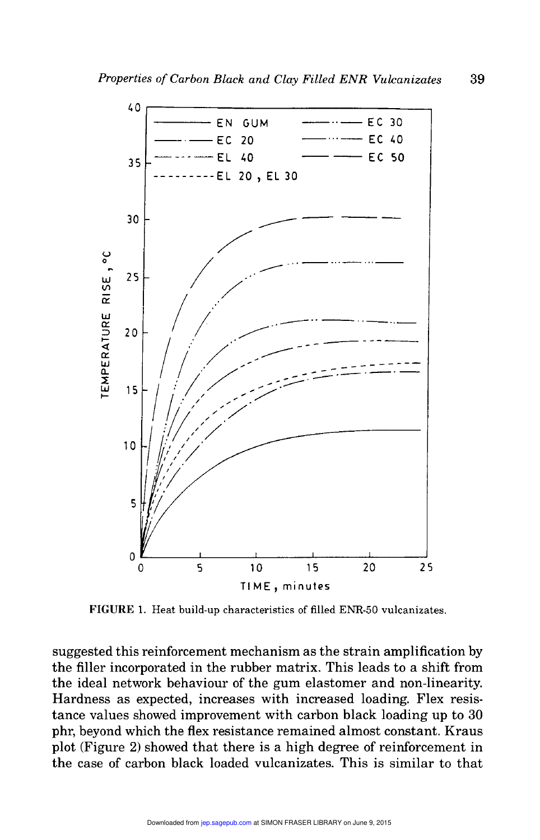

FIGURE 1. Heat build-up characteristics of filled ENR-50 vulcanizates.

suggested this reinforcement mechanism as the strain amplification by the filler incorporated in the rubber matrix. This leads to a shift from the ideal network behaviour of the gum elastomer and non-linearity. Hardness as expected, increases with increased loading. Flex resistance values showed improvement with carbon black loading up to 30 phr, beyond which the flex resistance remained almost constant. Kraus plot (Figure 2) showed that there is a high degree of reinforcement in the case of carbon black loaded vulcanizates. This is similar to that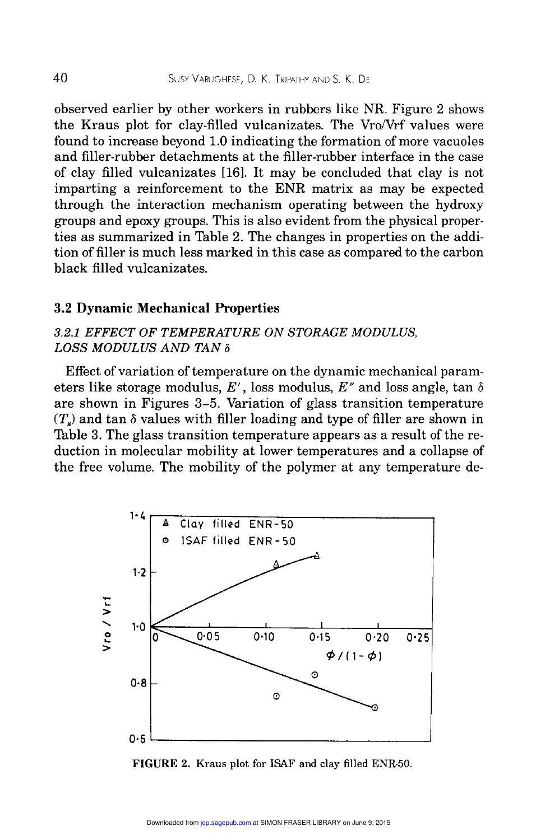observed earlier by other workers in rubbers like NR. Figure 2 shows the Kraus plot for clay-filled vulcanizates. The Vro/Vrf values were found to increase beyond 1.0 indicating the formation of more vacuoles and filler-rubber detachments at the filler-rubber interface in the case of clay filled vulcanizates [16]. It may be concluded that clay is not imparting a reinforcement to the ENR matrix as may be expected through the interaction mechanism operating between the hydroxy groups and epoxy groups. This is also evident from the physical properties as summarized in Table 2. The changes in properties on the addition of filler is much less marked in this case as compared to the carbon black filled vulcanizates.

#### 3.2 Dynamic Mechanical Properties

#### 3.2.1 EFFECT OF TEMPERATURE ON STORAGE MODULUS, LOSS MODULUS AND TAN  $\delta$

Effect of variation of temperature on the dynamic mechanical parameters like storage modulus, E', loss modulus, E'' and loss angle, tan  $\delta$ are shown in Figures 3-5. Variation of glass transition temperature  $(T<sub>e</sub>)$  and tan  $\delta$  values with filler loading and type of filler are shown in Table 3. The glass transition temperature appears as a result of the reduction in molecular mobility at lower temperatures and a collapse of the free volume. The mobility of the polymer at any temperature de-



FIGURE 2. Kraus plot for ISAF and clay filled ENR-50.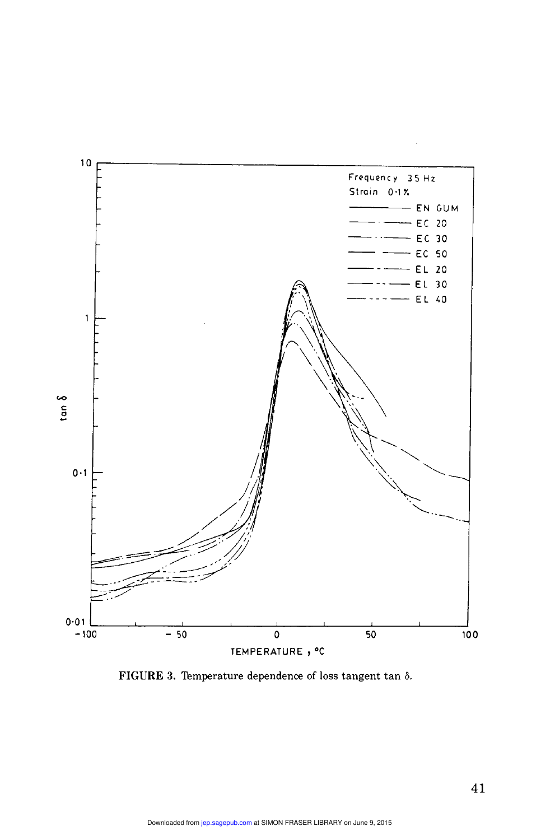

FIGURE 3. Temperature dependence of loss tangent tan  $\delta$ .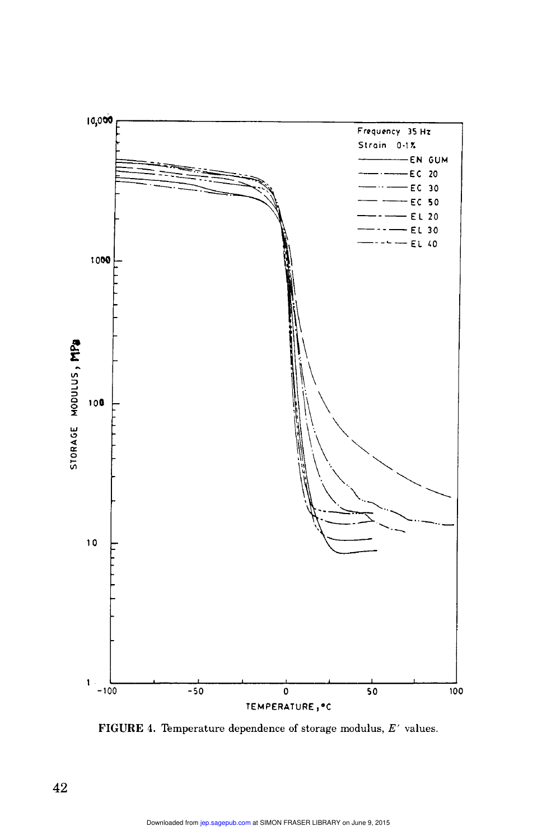

FIGURE 4. Temperature dependence of storage modulus,  $E'$  values.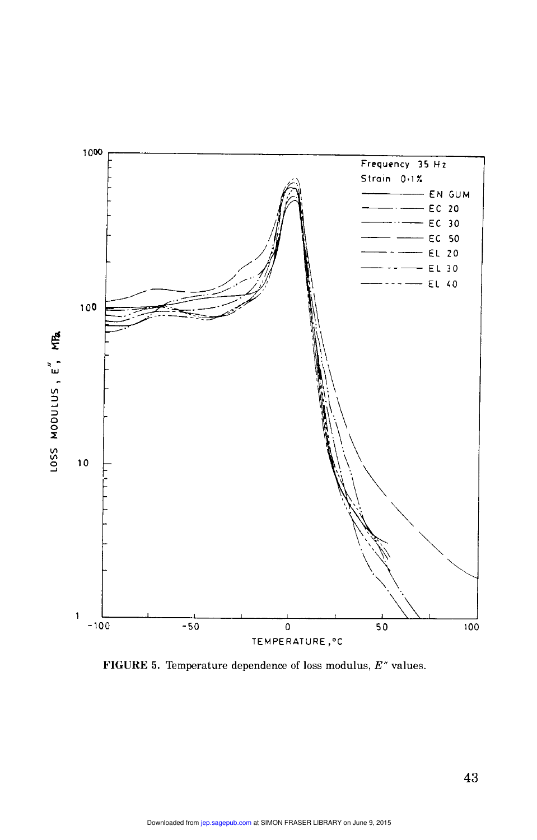

FIGURE 5. Temperature dependence of loss modulus,  $E''$  values.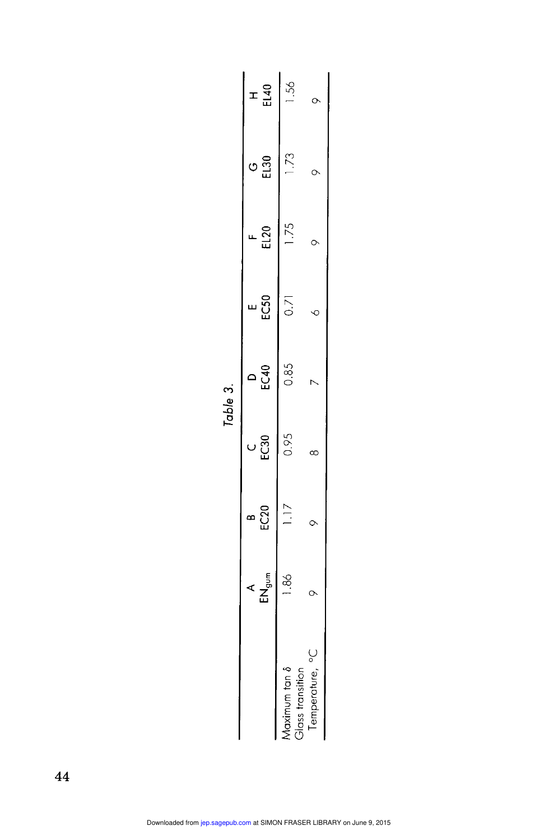|                                  |      |          |      | Table 3. |                   |      |           |     |
|----------------------------------|------|----------|------|----------|-------------------|------|-----------|-----|
|                                  | A    | ာ<br>သော | EC30 | EC40     | EC50<br>ш         | EL20 | EL30<br>Ċ | ェュロ |
| doss transition<br>Maximum tan 8 | 1.86 | 1.17     | 0.95 | 0.85     | $\overline{0.71}$ | 1.75 | Ľ.        |     |
| Temperature, °C                  |      |          |      |          |                   |      | O         |     |
|                                  |      |          |      |          |                   |      |           |     |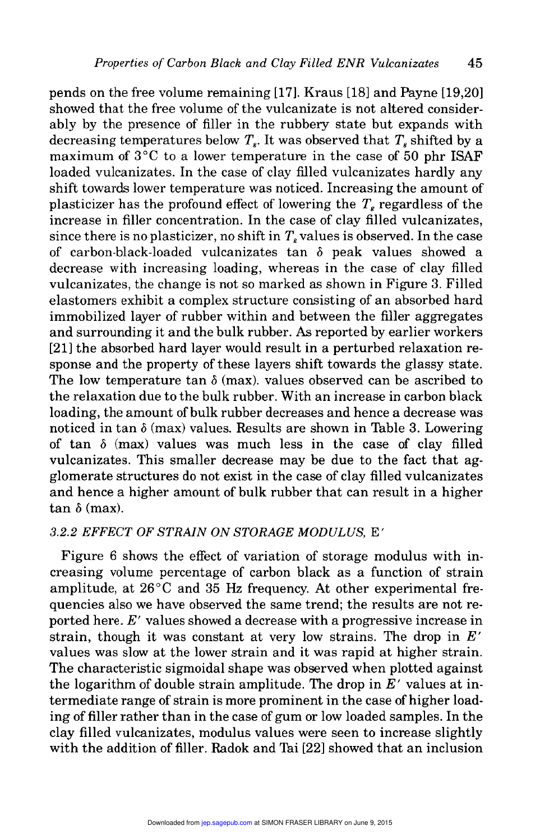pends on the free volume remaining [17]. Kraus [18] and Payne [19,20] showed that the free volume of the vulcanizate is not altered considerably by the presence of filler in the rubbery state but expands with decreasing temperatures below  $T<sub>s</sub>$ . It was observed that  $T<sub>s</sub>$  shifted by a maximum of 3°C to a lower temperature in the case of 50 phr ISAF loaded vulcanizates. In the case of clay filled vulcanizates hardly any shift towards lower temperature was noticed. Increasing the amount of plasticizer has the profound effect of lowering the  $T<sub>s</sub>$  regardless of the increase in filler concentration. In the case of clay filled vulcanizates, since there is no plasticizer, no shift in  $T<sub>s</sub>$  values is observed. In the case of carbon-black-loaded vulcanizates tan 6 peak values showed a decrease with increasing loading, whereas in the case of clay filled vulcanizates, the change is not so marked as shown in Figure 3. Filled elastomers exhibit a complex structure consisting of an absorbed hard immobilized layer of rubber within and between the filler aggregates and surrounding it and the bulk rubber. As reported by earlier workers [21] the absorbed hard layer would result in a perturbed relaxation response and the property of these layers shift towards the glassy state. The low temperature tan  $\delta$  (max), values observed can be ascribed to the relaxation due to the bulk rubber. With an increase in carbon black loading, the amount of bulk rubber decreases and hence a decrease was noticed in tan  $\delta$  (max) values. Results are shown in Table 3. Lowering of tan  $\delta$  (max) values was much less in the case of clay filled vulcanizates. This smaller decrease may be due to the fact that agglomerate structures do not exist in the case of clay filled vulcanizates and hence a higher amount of bulk rubber that can result in a higher  $tan \, \delta$  (max).

#### 3.2.2 EFFECT OF STRAIN ON STORAGE MODULUS, E'

Figure 6 shows the effect of variation of storage modulus with increasing volume percentage of carbon black as a function of strain amplitude, at  $26^{\circ}$ C and  $35$  Hz frequency. At other experimental frequencies also we have observed the same trend; the results are not reported here. E' values showed a decrease with a progressive increase in strain, though it was constant at very low strains. The drop in  $E'$ values was slow at the lower strain and it was rapid at higher strain. The characteristic sigmoidal shape was observed when plotted against the logarithm of double strain amplitude. The drop in  $E'$  values at intermediate range of strain is more prominent in the case of higher loading of filler rather than in the case of gum or low loaded samples. In the clay filled vulcanizates, modulus values were seen to increase slightly with the addition of filler. Radok and Tai [22] showed that an inclusion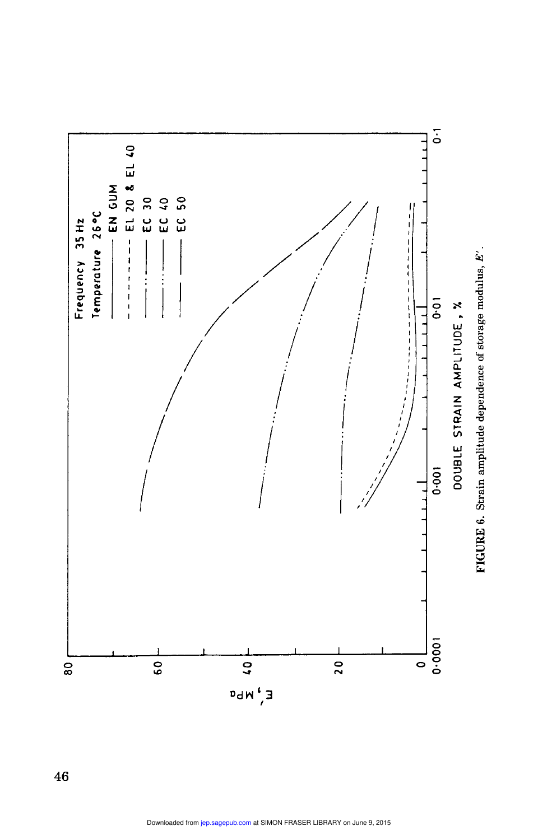

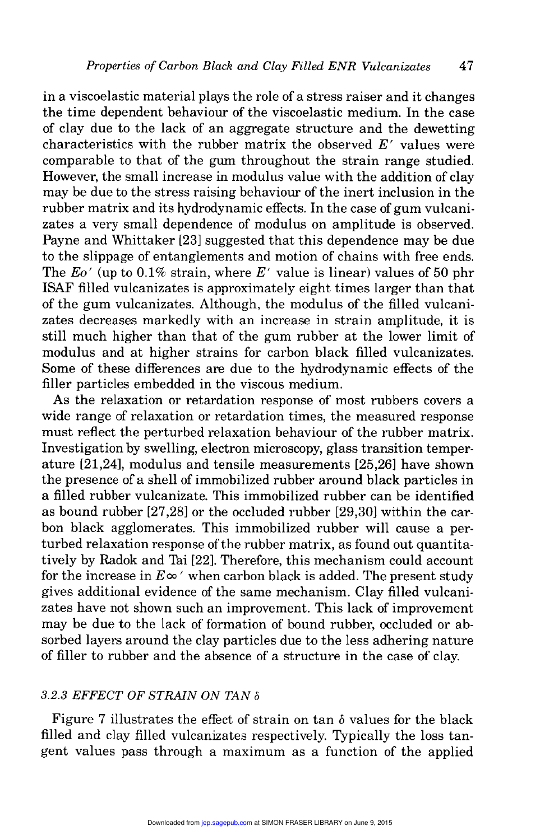in a viscoelastic material plays the role of a stress raiser and it changes the time dependent behaviour of the viscoelastic medium. In the case of clay due to the lack of an aggregate structure and the dewetting characteristics with the rubber matrix the observed  $E'$  values were comparable to that of the gum throughout the strain range studied. However, the small increase in modulus value with the addition of clay may be due to the stress raising behaviour of the inert inclusion in the rubber matrix and its hydrodynamic effects. In the case of gum vulcanizates a very small dependence of modulus on amplitude is observed. Payne and Whittaker [23] suggested that this dependence may be due to the slippage of entanglements and motion of chains with free ends. The  $E_0$ ' (up to 0.1% strain, where E' value is linear) values of 50 phr ISAF filled vulcanizates is approximately eight times larger than that of the gum vulcanizates. Although, the modulus of the filled vulcanizates decreases markedly with an increase in strain amplitude, it is still much higher than that of the gum rubber at the lower limit of modulus and at higher strains for carbon black filled vulcanizates. Some of these differences are due to the hydrodynamic effects of the filler particles embedded in the viscous medium.

As the relaxation or retardation response of most rubbers covers a wide range of relaxation or retardation times, the measured response must reflect the perturbed relaxation behaviour of the rubber matrix. Investigation by swelling, electron microscopy, glass transition temperature [21,24], modulus and tensile measurements [25,26] have shown the presence of a shell of immobilized rubber around black particles in a filled rubber vulcanizate. This immobilized rubber can be identified as bound rubber [27,28] or the occluded rubber [29,30] within the carbon black agglomerates. This immobilized rubber will cause a perturbed relaxation response of the rubber matrix, as found out quantitatively by Radok and Tai [22]. Therefore, this mechanism could account for the increase in  $E\infty'$  when carbon black is added. The present study gives additional evidence of the same mechanism. Clay filled vulcanizates have not shown such an improvement. This lack of improvement may be due to the lack of formation of bound rubber, occluded or absorbed layers around the clay particles due to the less adhering nature of filler to rubber and the absence of a structure in the case of clay.

#### 3.2.3 EFFECT OF STRAIN ON TAN  $\delta$

Figure 7 illustrates the effect of strain on tan  $\delta$  values for the black filled and clay filled vulcanizates respectively. Typically the loss tangent values pass through a maximum as a function of the applied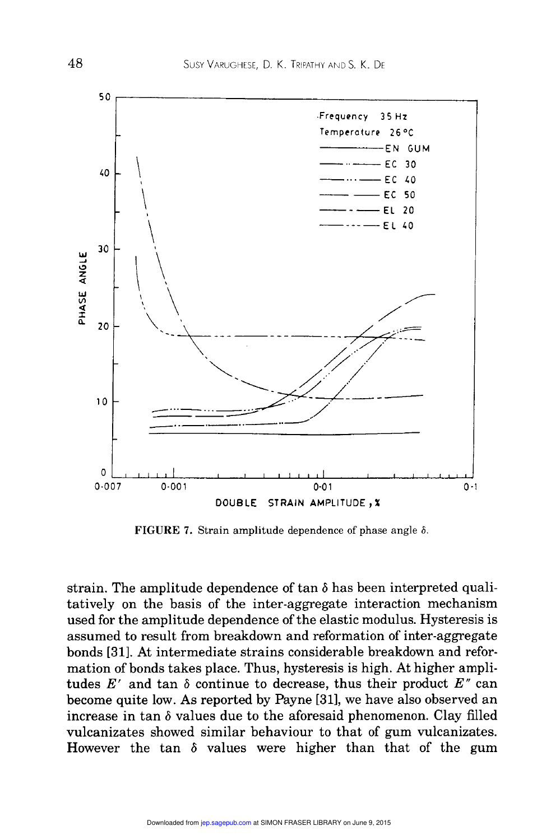

FIGURE 7. Strain amplitude dependence of phase angle  $\delta$ .

strain. The amplitude dependence of  $\tan \delta$  has been interpreted qualitatively on the basis of the inter-aggregate interaction mechanism used for the amplitude dependence of the elastic modulus. Hysteresis is assumed to result from breakdown and reformation of inter-aggregate bonds [31]. At intermediate strains considerable breakdown and reformation of bonds takes place. Thus, hysteresis is high. At higher amplitudes  $E'$  and tan  $\delta$  continue to decrease, thus their product  $E''$  can become quite low. As reported by Payne [31], we have also observed an increase in tan  $\delta$  values due to the aforesaid phenomenon. Clay filled vulcanizates showed similar behaviour to that of gum vulcanizates. However the tan  $\delta$  values were higher than that of the gum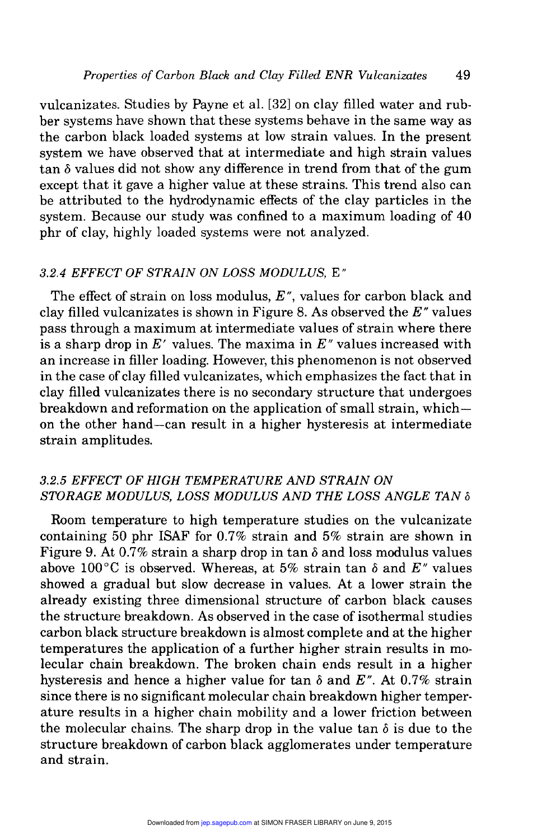vulcanizates. Studies by Payne et al. [32] on clay filled water and rubber systems have shown that these systems behave in the same way as the carbon black loaded systems at low strain values. In the present system we have observed that at intermediate and high strain values  $tan \delta$  values did not show any difference in trend from that of the gum except that it gave a higher value at these strains. This trend also can be attributed to the hydrodynamic effects of the clay particles in the system. Because our study was confined to a maximum loading of 40 phr of clay, highly loaded systems were not analyzed.

#### 3.2.4 EFFECT OF STRAIN ON LOSS MODULUS, E"

The effect of strain on loss modulus,  $E^{\prime\prime}$ , values for carbon black and clay filled vulcanizates is shown in Figure 8. As observed the  $E''$  values pass through a maximum at intermediate values of strain where there is a sharp drop in  $E'$  values. The maxima in  $E''$  values increased with an increase in filler loading. However, this phenomenon is not observed in the case of clay filled vulcanizates, which emphasizes the fact that in clay filled vulcanizates there is no secondary structure that undergoes breakdown and reformation on the application of small strain, whichon the other hand-can result in a higher hysteresis at intermediate strain amplitudes.

#### 3.2.5 EFFECT OF HIGH TEMPERATURE AND STRAIN ON STORAGE MODULUS, LOSS MODULUS AND THE LOSS ANGLE TAN  $\delta$

Room temperature to high temperature studies on the vulcanizate containing 50 phr ISAF for 0.7% strain and 5% strain are shown in Figure 9. At 0.7% strain a sharp drop in tan  $\delta$  and loss modulus values above 100°C is observed. Whereas, at 5% strain tan  $\delta$  and  $E''$  values showed a gradual but slow decrease in values. At a lower strain the already existing three dimensional structure of carbon black causes the structure breakdown. As observed in the case of isothermal studies carbon black structure breakdown is almost complete and at the higher temperatures the application of a further higher strain results in molecular chain breakdown. The broken chain ends result in a higher hysteresis and hence a higher value for tan  $\delta$  and  $E^{\prime\prime}$ . At 0.7% strain since there is no significant molecular chain breakdown higher temperature results in a higher chain mobility and a lower friction between the molecular chains. The sharp drop in the value tan  $\delta$  is due to the structure breakdown of carbon black agglomerates under temperature and strain.

49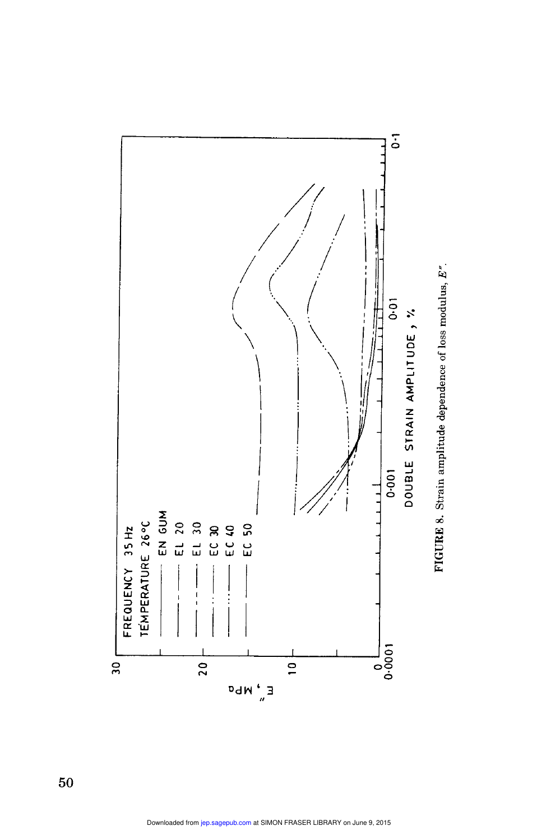

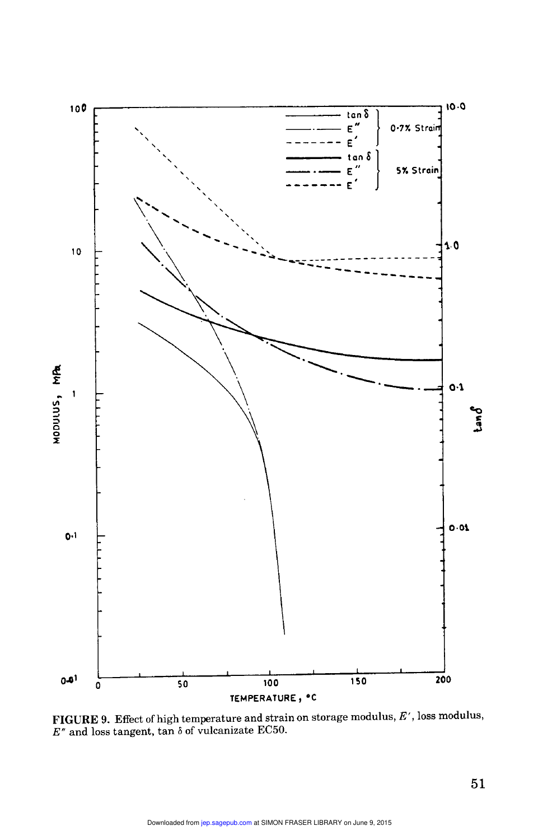

**FIGURE 9.** Effect of high temperature and strain on storage modulus,  $E'$ , loss modulus,  $E''$  and loss tangent, tan  $\delta$  of vulcanizate EC50.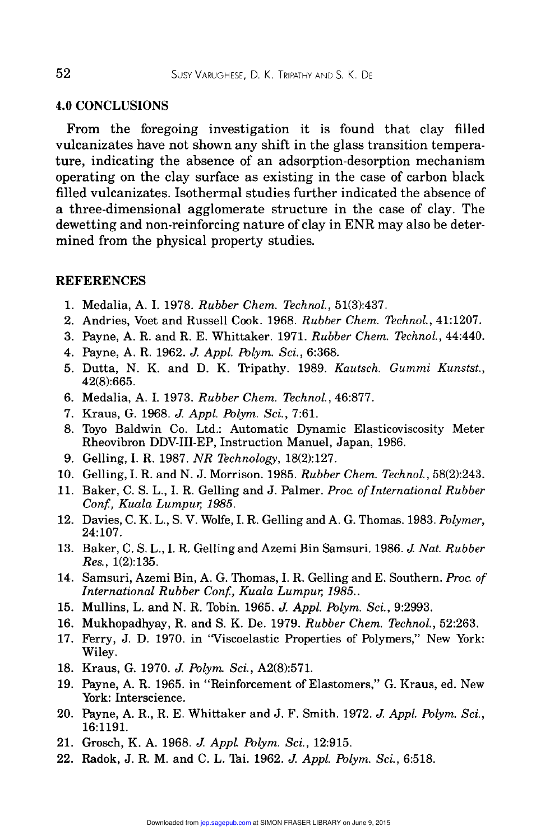#### 4.0 CONCLUSIONS

From the foregoing investigation it is found that clay filled vulcanizates have not shown any shift in the glass transition temperature, indicating the absence of an adsorption-desorption mechanism operating on the clay surface as existing in the case of carbon black filled vulcanizates. Isothermal studies further indicated the absence of a three-dimensional agglomerate structure in the case of clay. The dewetting and non-reinforcing nature of clay in ENR may also be determined from the physical property studies.

#### **REFERENCES**

- 1. Medalia, A. I. 1978. Rubber Chem. Technol., 51(3):437.
- 2. Andries, Voet and Russell Cook. 1968. Rubber Chem. Technol., 41:1207.
- 3. Payne, A. R. and R. E. Whittaker. 1971. Rubber Chem. Technol., 44:440.
- 4. Payne, A. R. 1962. J. Appl. Polym. Sci., 6:368.
- 5. Dutta, N. K. and D. K. Tripathy. 1989. Kautsch. Gummi Kunstst., 42(8):665.
- 6. Medalia, A. I. 1973. Rubber Chem. Technol., 46:877.
- 7. Kraus, G. 1968. J. Appl. Polym. Sci., 7:61.
- 8. Toyo Baldwin Co. Ltd.: Automatic Dynamic Elasticoviscosity Meter Rheovibron DDV-III-EP, Instruction Manuel, Japan, 1986.
- 9. Gelling, I. R. 1987. NR Technology, 18(2):127.
- 10. Gelling, I. R. and N. J. Morrison. 1985. Rubber Chem. Technol., 58(2):243.
- 11. Baker, C. S. L., I. R. Gelling and J. Palmer. Proc. of International Rubber Gelling, I. R. 1987. *NR Techn*<br>Gelling, I. R. and N. J. Morris<br>Baker, C. S. L., I. R. Gelling a<br>*Conf., Kuala Lumpur, 1985.*<br>Davies, C. K. L., S. V. Wolfe, I.
- 12. Davies, C. K. L., S. V. Wolfe, I. R. Gelling and A. G. Thomas. 1983. Polymer, 24:107.
- 13. Baker, C. S. L., I. R. Gelling and Azemi Bin Samsuri. 1986. J. Nat. Rubber Res., 1(2):135.
- 14. Samsuri, Azemi Bin, A. G. Thomas, I. R. Gelling and E. Southern. Proc. of International Rubber Conf., Kuala Lumpur, 1985..
- 15. Mullins, L. and N. R. Tobin. 1965. J. Appl. Polym. Sci., 9:2993.
- 16. Mukhopadhyay, R. and S. K. De. 1979. Rubber Chem. Technol., 52:263.
- 17. Ferry, J. D. 1970. in "Viscoelastic Properties of Polymers," New York: Wiley.
- 18. Kraus, G. 1970. J. Polym. Sci., A2(8):571.
- 19. Payne, A. R. 1965. in "Reinforcement of Elastomers," G. Kraus, ed. New York: Interscience.
- 20. Payne, A. R., R. E. Whittaker and J. F. Smith. 1972. J. Appl. Polym. Sci., 16:1191.
- 21. Grosch, K. A. 1968. J. Appl. Polym. Sci., 12:915.
- 22. Radok, J. R. M. and C. L. Tai. 1962. J. Appl. Polym. Sci., 6:518.